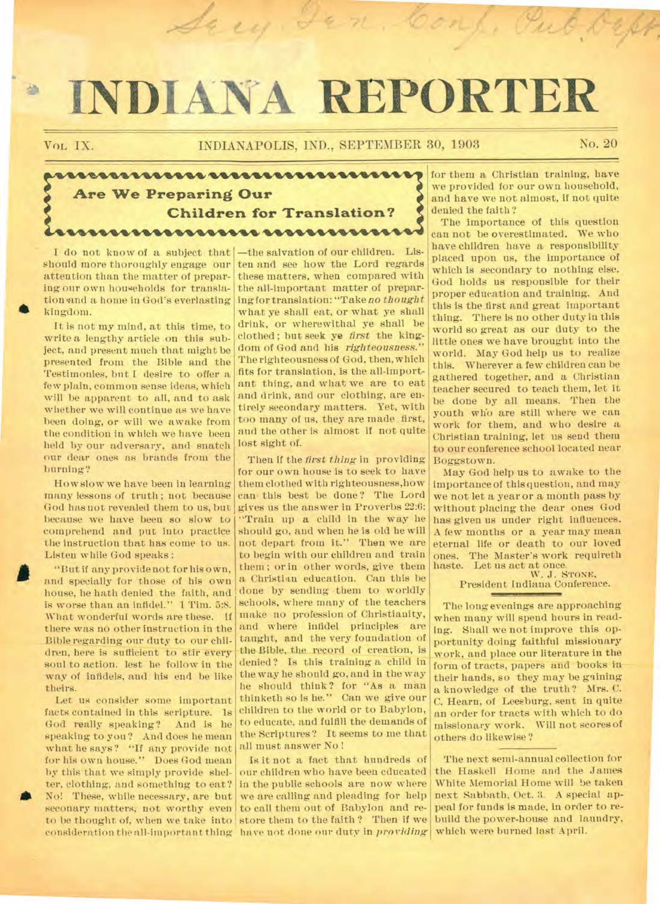# **INDIANA REPORTER**

鱼

Vol, **IX. INDIANAPOLIS, IND., SEPTEMBER 30, 1903 No. 20** 

Sary Jen. Conf. Pub Och

# **Are We Preparing Our Children for Translation?**  <u>uurrunnunnunnunnunnu</u>

attention than the matter of preparing our own households for translation and a home in God's everlasting kingdom.

It is not my mind, at this time, to write a lengthy article on this subject, and present much that might be presented from the Bible and the Testimonies, but I desire to offer a few plain, common sense ideas, which will be apparent to all, and to ask whether we will continue as we have been doing, or will we awake from the condition in which we have been held by our adversary, and snatch our dear ones as brands from the burning?

How slow we have been in learning many lessons of truth ; not because God has not revealed them to us, but because we have been so slow to comprehend and put into practice the instruction that has come to us. Listen while God speaks :

"But if any provide not for his own, and specially for those of his own house, he bath denied the faith, and is worse than an infidel." 1 Tim. 5:8. What wonderful words are these. If there was no other instruction in the Bible regarding our duty to our children, here is sufficient to stir every soul to action. lest he follow in the way of infidels, and his end be like theirs.

Let us consider some important facts contained in this scripture. Is<br>God really speaking? And is he God really speaking? speaking to you? And does he mean what he says? "If any provide not for his own house." Does God mean by this that we simply provide shelter, clothing, and something to eat? No! These, while necessary, are but seconary matters, not worthy even to be thought of, when we take into consideration the all-important thing have not done our duty in *providing* which were burned last April.

I do not know of a subject that  $\left| \rule{0.3cm}{.0cm} \right|$  -the salvation of our children. Lisshould more thoroughly engage our ten and see how the Lord regards these matters, when compared with the all-important matter of preparing for translation: "Take no *thought*  what ye shall eat, or what ye shall drink, or wherewithal ye shall be clothed ; but seek ye *first* the kingdom of God and his *righteousness."*  The righteousness of God, then, which fits for translation, is the all-important thing, and what we are to eat and drink, and our clothing, are entirely secondary matters. Yet, with too many of us, they are made first, and the other is almost if not quite lost sight of.

> Then if the *first thing* in providing for our own house is to seek to have them clothed with righteousness,how cam this best be done? The Lord gives us the answer in Proverbs 22:6: "Train up a child in the way he should go, and when he is old he will not depart from it." Then we are to begin with our children and train them ; or in other words, give them a Christian education. Can this be done by sending them to worldly schools, where many of the teachers make no profession of Christianity, and where infidel principles are taught, and the very foundation of the Bible, the record of creation, is denied ? Is this training a child in the way he should go, and in the way he should think? for "As a man thinketh so is he." Can we give our children to the world or to Babylon, to educate, and fulfill the demands of the Scriptures? It seems to me that all must answer No !

> Is it not a fact that hundreds of our children who have been educated in the public schools are now where we are calling and pleading for help to call them out of Babylon and restore them to the faith ? Then if we

for them a Christian training, have we provided for our own household, and have we not almost, if not quite denied the faith ?

The importance of this question can not be overestimated. We who have children have a responsibility placed upon us, the importance of which is secondary to nothing else. God holds us responsible for their proper education and training. And this is the first and great important thing. There is no other duty in this world so great as our duty to the little ones we have brought into the world. May God help us to realize this. Wherever a few children can be gathered together, and a Christian teacher secured to teach them, let it be done by all means. Then the youth who are still where we can work for them, and who desire a Christian training, let us send them to our conference school located near Boggstown.

May God help us to awake to the importance of this question, and may we not let a year or a month pass by without placing the dear ones God has given us under right influences. A few months or a year may mean eternal life or death to our loved ones. The Master's work requireth

haste. Let us act at once. W. J. STONE, President Indiana Conference.

The long evenings are approaching when many will spend hours in reading. Shall we not improve this opportunity doing faithful missionary work, and place our literature in the form of tracts, papers and books in their hands, so they may be gaining a knowledge of the truth? Mrs. C. C. Hearn, of Leesburg, sent in quite an order for tracts with which to do missionary work. Will not scores of others do likewise?

The next semi-annual collection for the Haskell Home and the James White Memorial Home will be taken next Sabbath, Oct. 3. A special appeal for funds is made, in order to rebuild the power-house and laundry,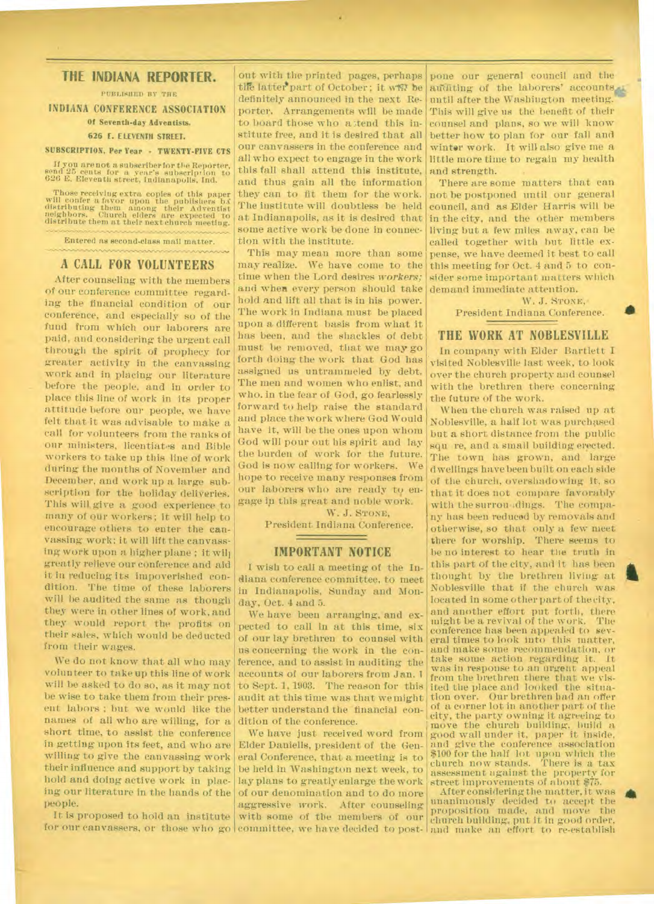## **THE INDIANA REPORTER.**

PUBLISHED BY THE

**INDIANA CONFERENCE ASSOCIATION Of Seventh-day Adventists.** 

#### **626 E. ELEVENTH STREET.**

#### **SUBSCRIPTION. Per Year · TWENTY-FIVE CTS**

**If** you are not a subscriber for the Reporter, send 25 cents for a year's subscription to 626 E. Eleventh street, Indianapolis, Ind.

Those receiving extra copies of this paper will confer a favor upon the publishers Is distributing them among their Adventist neighbors. Church elders are expected to distribute them at their next church meeting.

Entered as second-class mail matter.

#### **A CALL FOR VOLUNTEERS**

After counseling with the members of our conference committee regarding the financial condition of our conference, and especially so of the fund from which our laborers are paid, and considering the urgent call through the spirit of prophecy for greater activity in the canvassing work and in placing our literature before the people, and in order to place this line of work in its proper attitude before our people, we have felt that it was advisable to make a call for volunteers from the ranks of our ministers, licentiates and Bible workers to take up this line of work during the months of November and December, and work up a large subscription for the holiday deliveries. This will, give a good experience to many of our workers; it will help to encourage others to enter the canvassing work; it will lift the canvassing work upon a higher plane ; it will greatly relieve our conference and aid it in reducing its impoverished condition. The time of these laborers will be audited the same as though they were in other lines of work, and they would report the profits on their sales, which would be deducted from their wages.

We do not know that all who may volunteer to take up this line of work will be asked to do so, as it may not be wise to take them from their present labors ; but we would like the names of all who are willing, for a short time, to assist the conference in getting upon its feet, and who are willing to give the canvassing work their influence and support by taking hold and doing active work in placing our literature in the hands of the of our denomination and to do more people.

It is proposed to hold an institute

out with the printed pages, perhaps tile latter part of October; it will be definitely announced in the next Reporter. Arrangements will be made to board those who attend this institute free, and it is desired that all our canvassers in the conference and all who expect to engage in the work this fall shall attend this institute, and thus gain all the information they can to fit them for the work. The institute will doubtless be held at Indianapolis, as it is desired that some active work be done in connection with the institute.

This may mean more than some may realize. We have come to the time when the Lord desires *workers;*  and when every person should take hold and lift all that is in his power. The work in Indiana must be placed upon a different basis from what it has been, and the shackles of debt must be removed, that we may go forth doing the work that God has assigned us untrammeled by debt. The men and women who enlist, and who, in the fear of God, go fearlessly forward to help raise the standard and place the work where God Would have it, will be the ones upon whom God will pour out his spirit and lay the burden of work for the future. God is now calling for workers. We hope to receive many responses from our laborers who are ready to engage in this great and noble work.

W. J. STONE.

President Indiana Conference.

# <u> The Company of the Company of the Company of the Company of the Company of the Company of the Company of the Company of the Company of the Company of the Company of the Company of the Company of the Company of the Compan</u> **IMPORTANT NOTICE**

I wish to call a meeting of the Indiana conference committee, to meet in Indianapolis, Sunday and Monday, Oct. 4 and 5.

We have been arranging, and expected to call in at this time, six of our lay brethren to counsel with us concerning the work in the conference, and to assist in auditing the accounts of our laborers from Jan. 1 to Sept. 1, 1903. The reason for this audit at this time was that we might

for our canvassers, or those who go committee, we have decided to post- and make an effort to re-establish Elder Daniells, president of the General Conference, that a meeting is to be held in Washington next week, to lay plans to greatly enlarge the work aggressive work. After counseling with some of the members of our

pone our general council and the auditing of the laborers' accounts until after the Washington meeting. This will give us the benefit of their counsel and plans, so we will know better how to plan for our fall and winter work. It will also give me a little more time to regain my health and strength.

There are some matters that can not be postponed until our general council, and as Elder Harris will be in the city, and the other members living but a few miles away, can be called together with but little expense, we have deemed it best to call this meeting for Oct. 4 and 5 to consider some important matters which demand immediate attention.

> W. J. STONE, President Indiana Conference.

#### **THE WORK AT NOBLESVILLE**

In company with Elder Bartlett I visited Noblesville last week, to look over the church property and counsel with the brethren there concerning the future of the work.

When the church was raised up at Noblesville, a half lot was purchased but a short distance from the public squ re, and a small building erected. The town has grown, and large dwellings have been built on each side of the church, overshadowing it, so that it does not compare favorably with the surrou, dings. The company has been reduced by removals and otherwise, so that only a few meet there for worship. There seems to be no interest to hear the truth in this part of the city, and it has been thought by the brethren living at Noblesville that if the church was located in some other part of the city, and another effort put forth, there might be a revival of the work. conference has been appealed to several times to look into this matter, and make some recommendation, or take some action regarding it. It was in response to an urgent appeal from the brethren there that we visited the place and looked the situation over. Our brethren bad an offer of a corner lot in another part of the<br>city, the party owning it agreeing to dition of the conference. The conference and the conference in the church building, build a We have just received word from good wall under it, paper it inside, and give the conference association \$100 for the half lot upon which the church now stands. There is a tax assessment against the property for street improvements of about \$75.

After considering the matter, it was unanimously decided to accept the proposition made, and move the church building, put it in good order,

a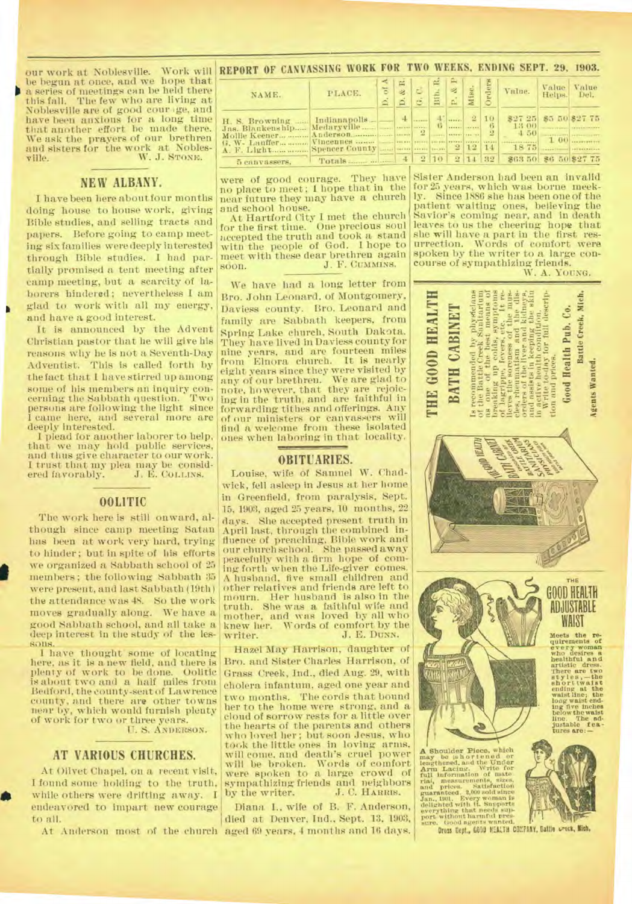be begun at once, and we hope that a series of meetings can be held there The few who are living at Noblesville are of good cour Ige, and have been anxious for a long time that another effort be made there. We ask the prayers of our brethren and sisters for the work at Nobles-<br>ville. W. J. STONE. W. J. STONE.

### **NEW ALBANY.**

**I** have been here about four months doing house to house work, giving Bible studies, and selling tracts and papers. Before going to camp meeting six families were deeply interested through Bible studies. I had partially promised a tent meeting after camp meeting, but a scarcity of laborers hindered; nevertheless I am glad to work with all my energy, and have a good interest.

It is announced by the Advent Christian pastor that he will give his reasons why he is not a Seventh-Day Adventist. This is called forth by the fact that I have stirred up among some of his members an inquiry con-<br>cerning the Sabbath question. Two cerning the Sabbath question. persons are following the light since I came here, and several more are deeply interested.

I plead for another laborer to help, that we may hold public services, and thus give character to our work. I trust that my plea may be consid-ered favorably. J. E. COLLINS.

#### **OOLITIC**

The work here is still onward, although since camp meeting Satan has been at work very hard, trying to hinder; but in spite of his efforts we organized a Sabbath school of 25 members; the following Sabbath 35 were present, and last Sabbath (19th the attendance was 48. So the work moves gradually along. We have a good Sabbath school, and all take a deep interest in the study of the lessons.

1 have thought' some of locating here, as it is a new field, and there is plenty of work to be done. Oolitic is about two and a half miles from Bedford, the eounty-seat of Lawrence county, and there are other towns near by, which would furnish plenty of work for two or three years.

IT. S. A NDERSON.

#### **AT VARIOUS CHURCHES.**

At Olivet Chapel, on a. recent visit, I found some holding to the truth, while others were drifting away. I endeavored to impart new courage to all.

our work at Noblesville. Work will REPORT OF CANVASSING WORK FOR TWO WEEKS, ENDING SEPT. 29, 1903.

| NAME.                                                                                 | PLACE.                                                                           | ≺<br>$\overline{6}$ |                                                | ٠                      | œ<br>Bith.                  |                                            | ≊                                   | Orders        | Vnlue.                                          | Value<br>Helps. | Value<br>Del.                    |
|---------------------------------------------------------------------------------------|----------------------------------------------------------------------------------|---------------------|------------------------------------------------|------------------------|-----------------------------|--------------------------------------------|-------------------------------------|---------------|-------------------------------------------------|-----------------|----------------------------------|
| H. S. Browning<br>Jas. Blankenship<br>Mollie Keener<br>G. W- Lauffer<br>5 canvassers. | Indianapolis<br>Medaryville<br>Anderson<br>Vincennes<br>Spencer County<br>Totals |                     | <b>SARANE SERVICE</b><br><b>ALLEY</b><br><br>4 | $-2$<br>$\overline{2}$ | $\mathbf{G}$<br>-----<br>10 | $\cdots$<br>SATIVE LABORAT<br>$\mathbf{2}$ | $\overline{2}$<br><br>12<br>2 14 32 | 10<br>2<br>14 | \$27 25 \$5 50 \$27 75<br>13 00<br>4.50<br>1875 |                 | $1.00$<br>\$63 50 \$6 50 \$27 75 |

were of good courage. They have no place to meet; I hope that in the near future they may have a church and school house.

At Hartford City I met the church for the first time. One precious soul accepted the truth and took a stand with the people of God. I hope to meet with these dear brethren again<br>soon. J. F. Cummiss. soon. *J.* F. CUMMINS.

We have had a long letter from Bro. John Leonard, of Montgomery, Daviess county. Bro. Leonard and family are Sabbath keepers, from Spring Lake church, South Dakota. They have lived in Daviess county for nine years, and are fourteen miles Elnora church. It is nearly eight years since they were visited by any of our brethren. We are glad to note, however, that they are rejoicing in the truth;and are faithful in forwarding tithes and offerings. Any of our ministers or canvassers will find a welcome from these isolated ones when laboring in that locality.

#### **OBITUARIES.**

Louise, wife of Samuel W. Chadwick, fell asleep in Jesus at her home in Greenfield, from paralysis, Sept. 15, 1903, aged 25 years, 10 months, 22 days. She accepted present truth in April last, through the combined influence of preaching. Bible work and our church school. She passed away peacefully with a firm hope of coming forth when the Life-giver comes. A husband, five small children and other relatives and friends are left to mourn. Her husband is also in the truth. She was a faithful wife and mother, and was loved by all who knew her. Words of comfort by the writer. J. E. DUNN.

Hazel May Harrison, daughter of Bro. and Sister Charles Harrison, of Grass Creek, Ind., died Aug. 29, with cholera infantum, aged one year and two months. The cords that bound her to the home were strong, and a cloud of sorrow rests for a little over the hearts of the parents and others who loved her; but soon Jesus, who took the little ones in loving arms, will come. and death's cruel power will be broken. Words of comfort<br>were spoken to a large crowd of<br>sympathizing friends and neighbors<br>by the writer. J. C. HARRIS.

At Anderson most of the church aged 69 years. 4 months and 16 days. Diana I., wife of B. F. Anderson, died at Denver, Ind., Sept. 13, 1903,

Sister Anderson had been an invalid for 25 years, which was borne meek-<br>ly. Since 1886 she has been one of the Since 1886 she has been one of the patient waiting ones, believing the Savior's coming near, and in death leaves to us the cheering hope that she will have a part in the first resurrection. Words of comfort were spoken by the writer to a large concourse of sympathizing friends. W. A. YOUNG.







A Shoulder Piece, which they be using the length of the Uniter Lacins:<br>the Uniter State of the Uniter State of the Uniter State of the Uniter State Tail, measurements, we<br>and prices. Satisfaction and prices. Satisfaction d



Dress Dept., GOOD NEALTH COMPANY, Ballie urack, Mich.